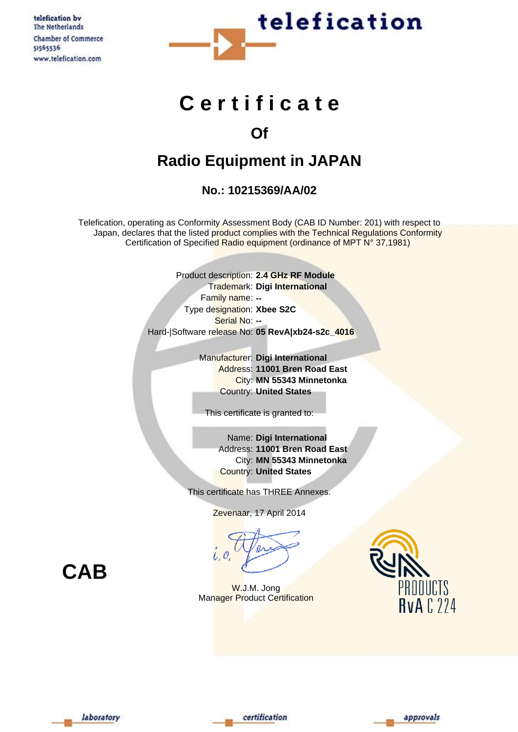telefication by The Netherlands Chamber of Commerce 51565536 www.telefication.com



# **C e r t i f i c a t e**

### **Of**

## **Radio Equipment in JAPAN**

### **No.: 10215369/AA/02**

Telefication, operating as Conformity Assessment Body (CAB ID Number: 201) with respect to Japan, declares that the listed product complies with the Technical Regulations Conformity Certification of Specified Radio equipment (ordinance of MPT N° 37,1981)

> Product description: **2.4 GHz RF Module** Trademark: **Digi International** Family name: **--** Type designation: **Xbee S2C** Serial No: **--** Hard-|Software release No: **05 RevA|xb24-s2c\_4016**

> > Manufacturer: **Digi International** Address: **11001 Bren Road East** City: **MN 55343 Minnetonka** Country: **United States**

This certificate is granted to:

Name: **Digi International** Address: **11001 Bren Road East** City: **MN 55343 Minnetonka** Country: **United States**

This certificate has THREE Annexes.

Zevenaar, 17 April 2014

W.J.M. Jong **Manager Product Certification** 



**CAB**





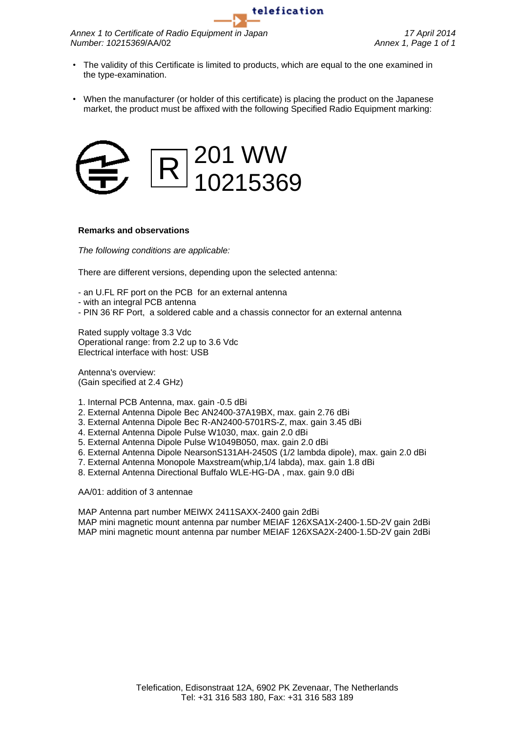*Annex 1 to Certificate of Radio Equipment in Japan 17 April 2014 Number: 10215369*/AA/02 *Annex 1, Page 1 of 1*

• The validity of this Certificate is limited to products, which are equal to the one examined in the type-examination.

telefication

• When the manufacturer (or holder of this certificate) is placing the product on the Japanese market, the product must be affixed with the following Specified Radio Equipment marking:



#### **Remarks and observations**

*The following conditions are applicable:*

There are different versions, depending upon the selected antenna:

- an U.FL RF port on the PCB for an external antenna
- with an integral PCB antenna
- PIN 36 RF Port, a soldered cable and a chassis connector for an external antenna

Rated supply voltage 3.3 Vdc Operational range: from 2.2 up to 3.6 Vdc Electrical interface with host: USB

Antenna's overview: (Gain specified at 2.4 GHz)

- 1. Internal PCB Antenna, max. gain -0.5 dBi
- 2. External Antenna Dipole Bec AN2400-37A19BX, max. gain 2.76 dBi
- 3. External Antenna Dipole Bec R-AN2400-5701RS-Z, max. gain 3.45 dBi
- 4. External Antenna Dipole Pulse W1030, max. gain 2.0 dBi
- 5. External Antenna Dipole Pulse W1049B050, max. gain 2.0 dBi
- 6. External Antenna Dipole NearsonS131AH-2450S (1/2 lambda dipole), max. gain 2.0 dBi
- 7. External Antenna Monopole Maxstream(whip,1/4 labda), max. gain 1.8 dBi
- 8. External Antenna Directional Buffalo WLE-HG-DA , max. gain 9.0 dBi

AA/01: addition of 3 antennae

MAP Antenna part number MEIWX 2411SAXX-2400 gain 2dBi MAP mini magnetic mount antenna par number MEIAF 126XSA1X-2400-1.5D-2V gain 2dBi MAP mini magnetic mount antenna par number MEIAF 126XSA2X-2400-1.5D-2V gain 2dBi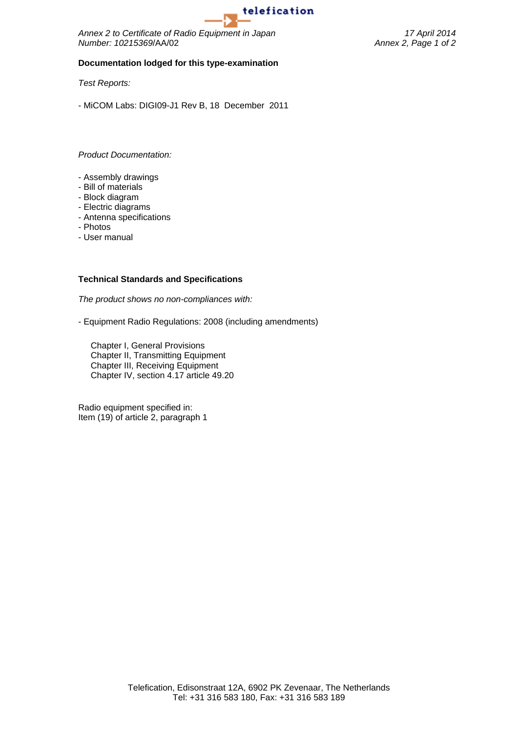

*Annex 2 to Certificate of Radio Equipment in Japan 17 April 2014 Number: 10215369*/AA/02 *Annex 2, Page 1 of 2*

#### **Documentation lodged for this type-examination**

*Test Reports:*

- MiCOM Labs: DIGI09-J1 Rev B, 18 December 2011

*Product Documentation:*

- Assembly drawings
- Bill of materials
- Block diagram
- Electric diagrams
- Antenna specifications
- Photos
- User manual

#### **Technical Standards and Specifications**

*The product shows no non-compliances with:*

- Equipment Radio Regulations: 2008 (including amendments)

Chapter I, General Provisions Chapter II, Transmitting Equipment Chapter III, Receiving Equipment Chapter IV, section 4.17 article 49.20

Radio equipment specified in: Item (19) of article 2, paragraph 1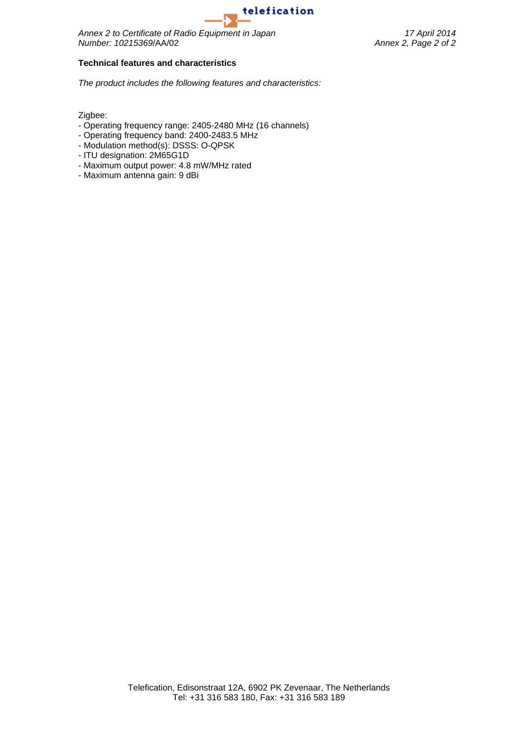

*Annex 2 to Certificate of Radio Equipment in Japan 17 April 2014 Number: 10215369*/AA/02 *Annex 2, Page 2 of 2*

#### **Technical features and characteristics**

*The product includes the following features and characteristics:*

Zigbee:

- Operating frequency range: 2405-2480 MHz (16 channels)
- Operating frequency band: 2400-2483.5 MHz
- Modulation method(s): DSSS: O-QPSK
- ITU designation: 2M65G1D
- Maximum output power: 4.8 mW/MHz rated
- Maximum antenna gain: 9 dBi